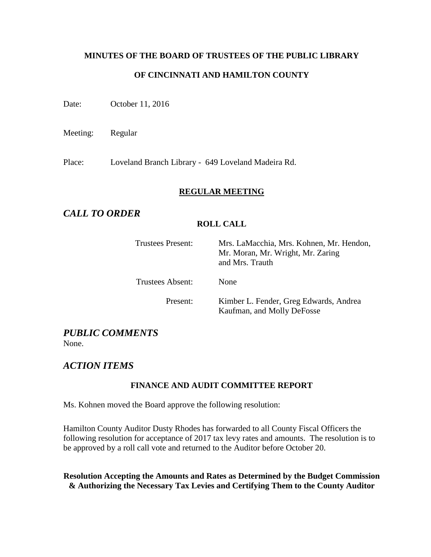# **MINUTES OF THE BOARD OF TRUSTEES OF THE PUBLIC LIBRARY OF CINCINNATI AND HAMILTON COUNTY**

Date: October 11, 2016

Meeting: Regular

Place: Loveland Branch Library - 649 Loveland Madeira Rd.

### **REGULAR MEETING**

### *CALL TO ORDER*

### **ROLL CALL**

| Trustees Present: | Mrs. LaMacchia, Mrs. Kohnen, Mr. Hendon,<br>Mr. Moran, Mr. Wright, Mr. Zaring<br>and Mrs. Trauth |
|-------------------|--------------------------------------------------------------------------------------------------|
| Trustees Absent:  | <b>None</b>                                                                                      |
| Present:          | Kimber L. Fender, Greg Edwards, Andrea<br>Kaufman, and Molly DeFosse                             |

## *PUBLIC COMMENTS*

None.

### *ACTION ITEMS*

### **FINANCE AND AUDIT COMMITTEE REPORT**

Ms. Kohnen moved the Board approve the following resolution:

Hamilton County Auditor Dusty Rhodes has forwarded to all County Fiscal Officers the following resolution for acceptance of 2017 tax levy rates and amounts. The resolution is to be approved by a roll call vote and returned to the Auditor before October 20.

**Resolution Accepting the Amounts and Rates as Determined by the Budget Commission & Authorizing the Necessary Tax Levies and Certifying Them to the County Auditor**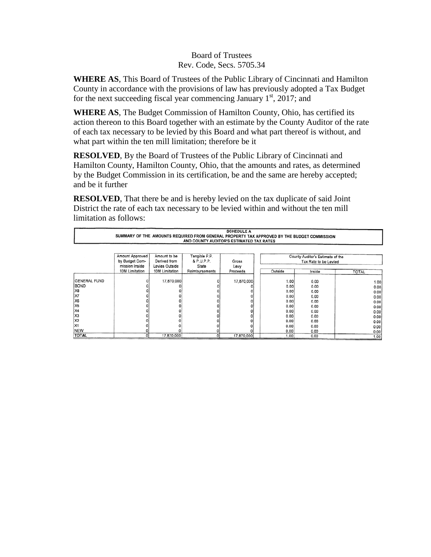### Board of Trustees Rev. Code, Secs. 5705.34

**WHERE AS**, This Board of Trustees of the Public Library of Cincinnati and Hamilton County in accordance with the provisions of law has previously adopted a Tax Budget for the next succeeding fiscal year commencing January  $1<sup>st</sup>$ , 2017; and

**WHERE AS**, The Budget Commission of Hamilton County, Ohio, has certified its action thereon to this Board together with an estimate by the County Auditor of the rate of each tax necessary to be levied by this Board and what part thereof is without, and what part within the ten mill limitation; therefore be it

**RESOLVED**, By the Board of Trustees of the Public Library of Cincinnati and Hamilton County, Hamilton County, Ohio, that the amounts and rates, as determined by the Budget Commission in its certification, be and the same are hereby accepted; and be it further

**RESOLVED**, That there be and is hereby levied on the tax duplicate of said Joint District the rate of each tax necessary to be levied within and without the ten mill limitation as follows:

| <b>SCHEDULE A</b>                                                                           |                                          |                |                |            |         |                                  |              |
|---------------------------------------------------------------------------------------------|------------------------------------------|----------------|----------------|------------|---------|----------------------------------|--------------|
| SUMMARY OF THE AMOUNTS REQUIRED FROM GENERAL PROPERTY TAX APPROVED BY THE BUDGET COMMISSION |                                          |                |                |            |         |                                  |              |
|                                                                                             | AND COUNTY AUDITOR'S ESTIMATED TAX RATES |                |                |            |         |                                  |              |
|                                                                                             |                                          |                |                |            |         |                                  |              |
|                                                                                             | Amount Approved                          | Amount to be   | Tangible P.P.  |            |         | County Auditor's Estimate of the |              |
|                                                                                             | by Budget Com-                           | Derived from   | & P.U.P.P.     | Gross      |         | Tax Rate to be Levied            |              |
|                                                                                             | mission Inside                           | Levies Outside | State          | Levy       |         |                                  |              |
|                                                                                             | 10M Limitation                           | 10M Limitation | Reimbursements | Proceeds   | Outside | Inside                           | <b>TOTAL</b> |
|                                                                                             |                                          |                |                |            |         |                                  |              |
| <b>GENERAL FUND</b>                                                                         |                                          | 17,870,000     |                | 17,870,000 | 1.00    | 0.00                             | 1.00         |
| <b>BOND</b>                                                                                 |                                          |                |                |            | 0.00    | 0.00                             | 0.00         |
| X8                                                                                          |                                          |                |                |            | 0.00    | 0.00                             | 0.00         |
| X7                                                                                          |                                          |                |                |            | 0.00    | 0.00                             | 0.00         |
| X6                                                                                          |                                          |                |                |            | 0.00    | 0.00                             | 0.00         |
| X5                                                                                          |                                          |                |                |            | 0.00    | 0.00                             | 0.00         |
| X4                                                                                          |                                          |                |                |            | 0.00    | 0.00                             | 0.00         |
| X3                                                                                          |                                          |                |                |            | 0.00    | 0.00                             | 0.00         |
| X2                                                                                          |                                          |                |                |            | 0.00    | 0.00                             | 0.00         |
| X1                                                                                          |                                          |                |                |            | 0.00    | 0.00                             | 0.00         |
| NEW                                                                                         |                                          |                |                |            | 0.00    | 0.00                             | 0.00         |
| <b>TOTAL</b>                                                                                |                                          | 17.870.000     |                | 17,870,000 | 1.00    | 0.00                             | 1.00         |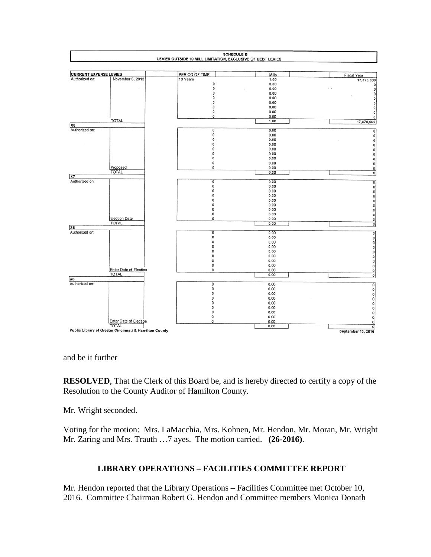

and be it further

**RESOLVED**, That the Clerk of this Board be, and is hereby directed to certify a copy of the Resolution to the County Auditor of Hamilton County.

Mr. Wright seconded.

Voting for the motion: Mrs. LaMacchia, Mrs. Kohnen, Mr. Hendon, Mr. Moran, Mr. Wright Mr. Zaring and Mrs. Trauth …7 ayes. The motion carried. **(26-2016)**.

### **LIBRARY OPERATIONS – FACILITIES COMMITTEE REPORT**

Mr. Hendon reported that the Library Operations – Facilities Committee met October 10, 2016. Committee Chairman Robert G. Hendon and Committee members Monica Donath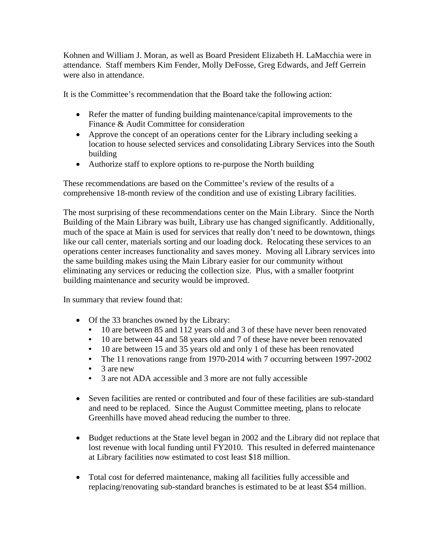Kohnen and William J. Moran, as well as Board President Elizabeth H. LaMacchia were in attendance. Staff members Kim Fender, Molly DeFosse, Greg Edwards, and Jeff Gerrein were also in attendance.

It is the Committee's recommendation that the Board take the following action:

- Refer the matter of funding building maintenance/capital improvements to the Finance & Audit Committee for consideration
- Approve the concept of an operations center for the Library including seeking a location to house selected services and consolidating Library Services into the South building
- Authorize staff to explore options to re-purpose the North building

These recommendations are based on the Committee's review of the results of a comprehensive 18-month review of the condition and use of existing Library facilities.

The most surprising of these recommendations center on the Main Library. Since the North Building of the Main Library was built, Library use has changed significantly. Additionally, much of the space at Main is used for services that really don't need to be downtown, things like our call center, materials sorting and our loading dock. Relocating these services to an operations center increases functionality and saves money. Moving all Library services into the same building makes using the Main Library easier for our community without eliminating any services or reducing the collection size. Plus, with a smaller footprint building maintenance and security would be improved.

In summary that review found that:

- Of the 33 branches owned by the Library:
	- 10 are between 85 and 112 years old and 3 of these have never been renovated
	- 10 are between 44 and 58 years old and 7 of these have never been renovated
	- 10 are between 15 and 35 years old and only 1 of these has been renovated
	- The 11 renovations range from 1970-2014 with 7 occurring between 1997-2002
	- 3 are new
	- 3 are not ADA accessible and 3 more are not fully accessible
- Seven facilities are rented or contributed and four of these facilities are sub-standard and need to be replaced. Since the August Committee meeting, plans to relocate Greenhills have moved ahead reducing the number to three.
- Budget reductions at the State level began in 2002 and the Library did not replace that lost revenue with local funding until FY2010. This resulted in deferred maintenance at Library facilities now estimated to cost least \$18 million.
- Total cost for deferred maintenance, making all facilities fully accessible and replacing/renovating sub-standard branches is estimated to be at least \$54 million.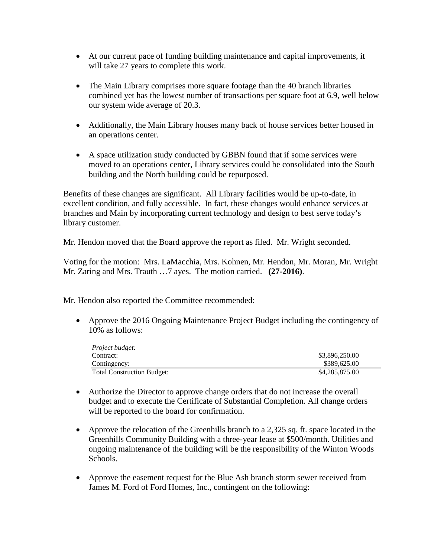- At our current pace of funding building maintenance and capital improvements, it will take 27 years to complete this work.
- The Main Library comprises more square footage than the 40 branch libraries combined yet has the lowest number of transactions per square foot at 6.9, well below our system wide average of 20.3.
- Additionally, the Main Library houses many back of house services better housed in an operations center.
- A space utilization study conducted by GBBN found that if some services were moved to an operations center, Library services could be consolidated into the South building and the North building could be repurposed.

Benefits of these changes are significant. All Library facilities would be up-to-date, in excellent condition, and fully accessible. In fact, these changes would enhance services at branches and Main by incorporating current technology and design to best serve today's library customer.

Mr. Hendon moved that the Board approve the report as filed. Mr. Wright seconded.

Voting for the motion: Mrs. LaMacchia, Mrs. Kohnen, Mr. Hendon, Mr. Moran, Mr. Wright Mr. Zaring and Mrs. Trauth …7 ayes. The motion carried. **(27-2016)**.

Mr. Hendon also reported the Committee recommended:

• Approve the 2016 Ongoing Maintenance Project Budget including the contingency of 10% as follows:

| <i>Project budget:</i>            |                |
|-----------------------------------|----------------|
| Contract:                         | \$3,896,250.00 |
| Contingency:                      | \$389,625.00   |
| <b>Total Construction Budget:</b> | \$4,285,875.00 |

- Authorize the Director to approve change orders that do not increase the overall budget and to execute the Certificate of Substantial Completion. All change orders will be reported to the board for confirmation.
- Approve the relocation of the Greenhills branch to a 2,325 sq. ft. space located in the Greenhills Community Building with a three-year lease at \$500/month. Utilities and ongoing maintenance of the building will be the responsibility of the Winton Woods Schools.
- Approve the easement request for the Blue Ash branch storm sewer received from James M. Ford of Ford Homes, Inc., contingent on the following: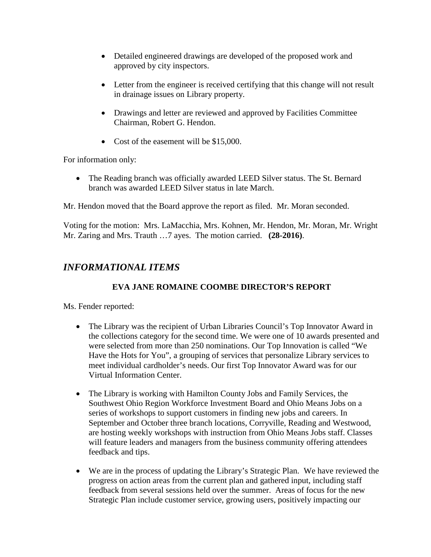- Detailed engineered drawings are developed of the proposed work and approved by city inspectors.
- Letter from the engineer is received certifying that this change will not result in drainage issues on Library property.
- Drawings and letter are reviewed and approved by Facilities Committee Chairman, Robert G. Hendon.
- Cost of the easement will be \$15,000.

For information only:

• The Reading branch was officially awarded LEED Silver status. The St. Bernard branch was awarded LEED Silver status in late March.

Mr. Hendon moved that the Board approve the report as filed. Mr. Moran seconded.

Voting for the motion: Mrs. LaMacchia, Mrs. Kohnen, Mr. Hendon, Mr. Moran, Mr. Wright Mr. Zaring and Mrs. Trauth …7 ayes. The motion carried. **(28-2016)**.

### *INFORMATIONAL ITEMS*

### **EVA JANE ROMAINE COOMBE DIRECTOR'S REPORT**

Ms. Fender reported:

- The Library was the recipient of Urban Libraries Council's Top Innovator Award in the collections category for the second time. We were one of 10 awards presented and were selected from more than 250 nominations. Our Top Innovation is called "We Have the Hots for You", a grouping of services that personalize Library services to meet individual cardholder's needs. Our first Top Innovator Award was for our Virtual Information Center.
- The Library is working with Hamilton County Jobs and Family Services, the Southwest Ohio Region Workforce Investment Board and Ohio Means Jobs on a series of workshops to support customers in finding new jobs and careers. In September and October three branch locations, Corryville, Reading and Westwood, are hosting weekly workshops with instruction from Ohio Means Jobs staff. Classes will feature leaders and managers from the business community offering attendees feedback and tips.
- We are in the process of updating the Library's Strategic Plan. We have reviewed the progress on action areas from the current plan and gathered input, including staff feedback from several sessions held over the summer. Areas of focus for the new Strategic Plan include customer service, growing users, positively impacting our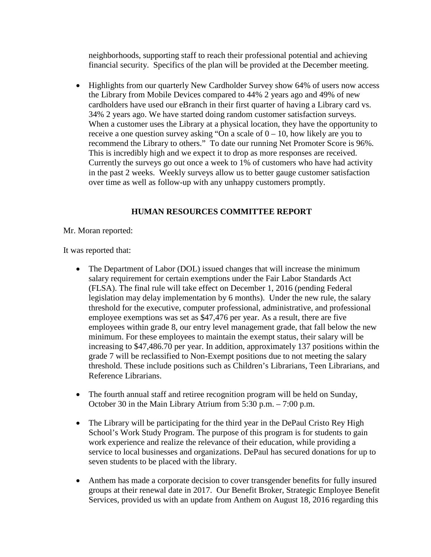neighborhoods, supporting staff to reach their professional potential and achieving financial security. Specifics of the plan will be provided at the December meeting.

• Highlights from our quarterly New Cardholder Survey show 64% of users now access the Library from Mobile Devices compared to 44% 2 years ago and 49% of new cardholders have used our eBranch in their first quarter of having a Library card vs. 34% 2 years ago. We have started doing random customer satisfaction surveys. When a customer uses the Library at a physical location, they have the opportunity to receive a one question survey asking "On a scale of  $0 - 10$ , how likely are you to recommend the Library to others." To date our running Net Promoter Score is 96%. This is incredibly high and we expect it to drop as more responses are received. Currently the surveys go out once a week to 1% of customers who have had activity in the past 2 weeks. Weekly surveys allow us to better gauge customer satisfaction over time as well as follow-up with any unhappy customers promptly.

### **HUMAN RESOURCES COMMITTEE REPORT**

Mr. Moran reported:

It was reported that:

- The Department of Labor (DOL) issued changes that will increase the minimum salary requirement for certain exemptions under the Fair Labor Standards Act (FLSA). The final rule will take effect on December 1, 2016 (pending Federal legislation may delay implementation by 6 months). Under the new rule, the salary threshold for the executive, computer professional, administrative, and professional employee exemptions was set as \$47,476 per year. As a result, there are five employees within grade 8, our entry level management grade, that fall below the new minimum. For these employees to maintain the exempt status, their salary will be increasing to \$47,486.70 per year. In addition, approximately 137 positions within the grade 7 will be reclassified to Non-Exempt positions due to not meeting the salary threshold. These include positions such as Children's Librarians, Teen Librarians, and Reference Librarians.
- The fourth annual staff and retiree recognition program will be held on Sunday, October 30 in the Main Library Atrium from 5:30 p.m. – 7:00 p.m.
- The Library will be participating for the third year in the DePaul Cristo Rey High School's Work Study Program. The purpose of this program is for students to gain work experience and realize the relevance of their education, while providing a service to local businesses and organizations. DePaul has secured donations for up to seven students to be placed with the library.
- Anthem has made a corporate decision to cover transgender benefits for fully insured groups at their renewal date in 2017. Our Benefit Broker, Strategic Employee Benefit Services, provided us with an update from Anthem on August 18, 2016 regarding this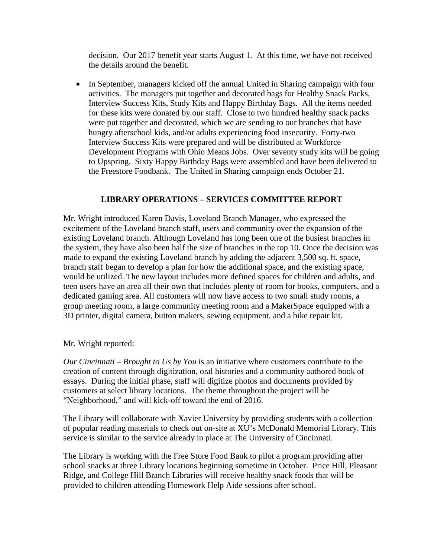decision. Our 2017 benefit year starts August 1. At this time, we have not received the details around the benefit.

• In September, managers kicked off the annual United in Sharing campaign with four activities. The managers put together and decorated bags for Healthy Snack Packs, Interview Success Kits, Study Kits and Happy Birthday Bags. All the items needed for these kits were donated by our staff. Close to two hundred healthy snack packs were put together and decorated, which we are sending to our branches that have hungry afterschool kids, and/or adults experiencing food insecurity. Forty-two Interview Success Kits were prepared and will be distributed at Workforce Development Programs with Ohio Means Jobs. Over seventy study kits will be going to Upspring. Sixty Happy Birthday Bags were assembled and have been delivered to the Freestore Foodbank. The United in Sharing campaign ends October 21.

### **LIBRARY OPERATIONS – SERVICES COMMITTEE REPORT**

Mr. Wright introduced Karen Davis, Loveland Branch Manager, who expressed the excitement of the Loveland branch staff, users and community over the expansion of the existing Loveland branch. Although Loveland has long been one of the busiest branches in the system, they have also been half the size of branches in the top 10. Once the decision was made to expand the existing Loveland branch by adding the adjacent 3,500 sq. ft. space, branch staff began to develop a plan for how the additional space, and the existing space, would be utilized. The new layout includes more defined spaces for children and adults, and teen users have an area all their own that includes plenty of room for books, computers, and a dedicated gaming area. All customers will now have access to two small study rooms, a group meeting room, a large community meeting room and a MakerSpace equipped with a 3D printer, digital camera, button makers, sewing equipment, and a bike repair kit.

#### Mr. Wright reported:

*Our Cincinnati – Brought to Us by You* is an initiative where customers contribute to the creation of content through digitization, oral histories and a community authored book of essays. During the initial phase, staff will digitize photos and documents provided by customers at select library locations. The theme throughout the project will be "Neighborhood," and will kick-off toward the end of 2016.

The Library will collaborate with Xavier University by providing students with a collection of popular reading materials to check out on-site at XU's McDonald Memorial Library. This service is similar to the service already in place at The University of Cincinnati.

The Library is working with the Free Store Food Bank to pilot a program providing after school snacks at three Library locations beginning sometime in October. Price Hill, Pleasant Ridge, and College Hill Branch Libraries will receive healthy snack foods that will be provided to children attending Homework Help Aide sessions after school.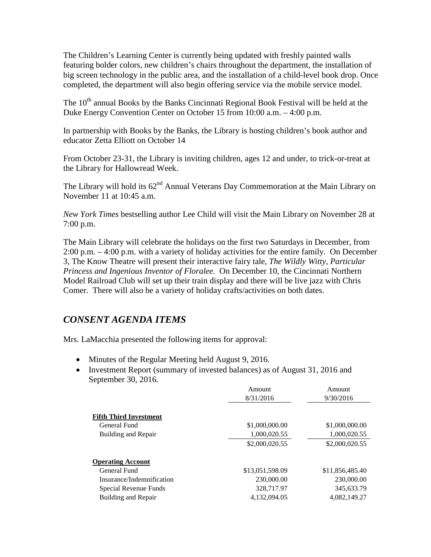The Children's Learning Center is currently being updated with freshly painted walls featuring bolder colors, new children's chairs throughout the department, the installation of big screen technology in the public area, and the installation of a child-level book drop. Once completed, the department will also begin offering service via the mobile service model.

The  $10<sup>th</sup>$  annual Books by the Banks Cincinnati Regional Book Festival will be held at the Duke Energy Convention Center on October 15 from 10:00 a.m. – 4:00 p.m.

In partnership with Books by the Banks, the Library is hosting children's book author and educator Zetta Elliott on October 14

From October 23-31, the Library is inviting children, ages 12 and under, to trick-or-treat at the Library for Hallowread Week.

The Library will hold its  $62<sup>nd</sup>$  Annual Veterans Day Commemoration at the Main Library on November 11 at 10:45 a.m.

*New York Times* bestselling author Lee Child will visit the Main Library on November 28 at 7:00 p.m.

The Main Library will celebrate the holidays on the first two Saturdays in December, from 2:00 p.m. – 4:00 p.m. with a variety of holiday activities for the entire family. On December 3, The Know Theatre will present their interactive fairy tale, *The Wildly Witty, Particular Princess and Ingenious Inventor of Floralee.* On December 10, the Cincinnati Northern Model Railroad Club will set up their train display and there will be live jazz with Chris Comer. There will also be a variety of holiday crafts/activities on both dates.

### *CONSENT AGENDA ITEMS*

Mrs. LaMacchia presented the following items for approval:

- Minutes of the Regular Meeting held August 9, 2016.
- Investment Report (summary of invested balances) as of August 31, 2016 and September 30, 2016.

|                               | Amount          | Amount          |
|-------------------------------|-----------------|-----------------|
|                               | 8/31/2016       | 9/30/2016       |
|                               |                 |                 |
| <b>Fifth Third Investment</b> |                 |                 |
| General Fund                  | \$1,000,000.00  | \$1,000,000.00  |
| Building and Repair           | 1,000,020.55    | 1,000,020.55    |
|                               | \$2,000,020.55  | \$2,000,020.55  |
| <b>Operating Account</b>      |                 |                 |
| General Fund                  | \$13,051,598.09 | \$11,856,485.40 |
| Insurance/Indemnification     | 230,000.00      | 230,000.00      |
| Special Revenue Funds         | 328,717.97      | 345,633.79      |
| Building and Repair           | 4,132,094.05    | 4,082,149.27    |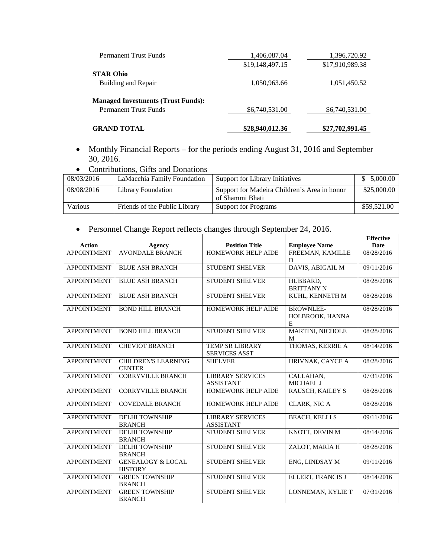| <b>GRAND TOTAL</b>                        | \$28,940,012.36 | \$27,702,991.45 |
|-------------------------------------------|-----------------|-----------------|
| <b>Permanent Trust Funds</b>              | \$6,740,531.00  | \$6,740,531.00  |
| <b>Managed Investments (Trust Funds):</b> |                 |                 |
| Building and Repair                       | 1,050,963.66    | 1,051,450.52    |
| <b>STAR Ohio</b>                          |                 |                 |
|                                           | \$19,148,497.15 | \$17,910,989.38 |
| <b>Permanent Trust Funds</b>              | 1,406,087.04    | 1,396,720.92    |

- Monthly Financial Reports for the periods ending August 31, 2016 and September 30, 2016.
- Contributions, Gifts and Donations

| 08/03/2016 | LaMacchia Family Foundation   | Support for Library Initiatives                                 | 5,000.00    |
|------------|-------------------------------|-----------------------------------------------------------------|-------------|
| 08/08/2016 | Library Foundation            | Support for Madeira Children's Area in honor<br>of Shammi Bhati | \$25,000.00 |
| Various    | Friends of the Public Library | <b>Support for Programs</b>                                     | \$59,521.00 |

#### • Personnel Change Report reflects changes through September 24, 2016.

| <b>Employee Name</b><br><b>Action</b><br><b>Position Title</b><br><b>Date</b><br>Agency<br><b>AVONDALE BRANCH</b><br>FREEMAN, KAMILLE<br><b>APPOINTMENT</b><br><b>HOMEWORK HELP AIDE</b><br>D<br>DAVIS, ABIGAIL M<br><b>APPOINTMENT</b><br><b>BLUE ASH BRANCH</b><br><b>STUDENT SHELVER</b><br><b>APPOINTMENT</b><br><b>STUDENT SHELVER</b><br><b>BLUE ASH BRANCH</b><br>HUBBARD. |  |                   |            |
|-----------------------------------------------------------------------------------------------------------------------------------------------------------------------------------------------------------------------------------------------------------------------------------------------------------------------------------------------------------------------------------|--|-------------------|------------|
|                                                                                                                                                                                                                                                                                                                                                                                   |  |                   |            |
|                                                                                                                                                                                                                                                                                                                                                                                   |  |                   | 08/28/2016 |
|                                                                                                                                                                                                                                                                                                                                                                                   |  |                   |            |
|                                                                                                                                                                                                                                                                                                                                                                                   |  |                   | 09/11/2016 |
|                                                                                                                                                                                                                                                                                                                                                                                   |  |                   |            |
|                                                                                                                                                                                                                                                                                                                                                                                   |  |                   | 08/28/2016 |
|                                                                                                                                                                                                                                                                                                                                                                                   |  | <b>BRITTANY N</b> |            |
| <b>STUDENT SHELVER</b><br><b>APPOINTMENT</b><br><b>BLUE ASH BRANCH</b><br>KUHL, KENNETH M                                                                                                                                                                                                                                                                                         |  |                   | 08/28/2016 |
|                                                                                                                                                                                                                                                                                                                                                                                   |  |                   |            |
| HOMEWORK HELP AIDE<br><b>BROWNLEE-</b><br><b>APPOINTMENT</b><br><b>BOND HILL BRANCH</b>                                                                                                                                                                                                                                                                                           |  |                   | 08/28/2016 |
| HOLBROOK, HANNA                                                                                                                                                                                                                                                                                                                                                                   |  |                   |            |
| E                                                                                                                                                                                                                                                                                                                                                                                 |  |                   |            |
| <b>APPOINTMENT</b><br><b>BOND HILL BRANCH</b><br><b>STUDENT SHELVER</b><br>MARTINI, NICHOLE                                                                                                                                                                                                                                                                                       |  |                   | 08/28/2016 |
| M                                                                                                                                                                                                                                                                                                                                                                                 |  |                   |            |
| THOMAS, KERRIE A<br><b>APPOINTMENT</b><br><b>CHEVIOT BRANCH</b><br><b>TEMP SR LIBRARY</b>                                                                                                                                                                                                                                                                                         |  |                   | 08/14/2016 |
| <b>SERVICES ASST</b>                                                                                                                                                                                                                                                                                                                                                              |  |                   |            |
| <b>APPOINTMENT</b><br><b>CHILDREN'S LEARNING</b><br>HRIVNAK, CAYCE A<br><b>SHELVER</b>                                                                                                                                                                                                                                                                                            |  |                   | 08/28/2016 |
| <b>CENTER</b>                                                                                                                                                                                                                                                                                                                                                                     |  |                   |            |
| <b>APPOINTMENT</b><br><b>CORRYVILLE BRANCH</b><br><b>LIBRARY SERVICES</b><br>CALLAHAN,                                                                                                                                                                                                                                                                                            |  |                   | 07/31/2016 |
| <b>MICHAEL J</b><br><b>ASSISTANT</b>                                                                                                                                                                                                                                                                                                                                              |  |                   |            |
| <b>APPOINTMENT</b><br><b>CORRYVILLE BRANCH</b><br>HOMEWORK HELP AIDE<br>RAUSCH, KAILEY S                                                                                                                                                                                                                                                                                          |  |                   | 08/28/2016 |
|                                                                                                                                                                                                                                                                                                                                                                                   |  |                   |            |
| <b>CLARK, NIC A</b><br><b>APPOINTMENT</b><br><b>COVEDALE BRANCH</b><br><b>HOMEWORK HELP AIDE</b>                                                                                                                                                                                                                                                                                  |  |                   | 08/28/2016 |
|                                                                                                                                                                                                                                                                                                                                                                                   |  |                   |            |
| <b>APPOINTMENT</b><br><b>LIBRARY SERVICES</b><br><b>BEACH, KELLI S</b><br><b>DELHI TOWNSHIP</b>                                                                                                                                                                                                                                                                                   |  |                   | 09/11/2016 |
| <b>BRANCH</b><br><b>ASSISTANT</b>                                                                                                                                                                                                                                                                                                                                                 |  |                   |            |
| KNOTT, DEVIN M<br><b>APPOINTMENT</b><br><b>DELHI TOWNSHIP</b><br>STUDENT SHELVER                                                                                                                                                                                                                                                                                                  |  |                   | 08/14/2016 |
| <b>BRANCH</b>                                                                                                                                                                                                                                                                                                                                                                     |  |                   |            |
| <b>APPOINTMENT</b><br><b>DELHI TOWNSHIP</b><br><b>STUDENT SHELVER</b><br>ZALOT, MARIA H                                                                                                                                                                                                                                                                                           |  |                   | 08/28/2016 |
| <b>BRANCH</b>                                                                                                                                                                                                                                                                                                                                                                     |  |                   |            |
| <b>APPOINTMENT</b><br><b>GENEALOGY &amp; LOCAL</b><br><b>STUDENT SHELVER</b><br>ENG, LINDSAY M                                                                                                                                                                                                                                                                                    |  |                   | 09/11/2016 |
| <b>HISTORY</b>                                                                                                                                                                                                                                                                                                                                                                    |  |                   |            |
| <b>APPOINTMENT</b><br>ELLERT, FRANCIS J<br><b>GREEN TOWNSHIP</b><br><b>STUDENT SHELVER</b>                                                                                                                                                                                                                                                                                        |  |                   | 08/14/2016 |
| <b>BRANCH</b>                                                                                                                                                                                                                                                                                                                                                                     |  |                   |            |
| <b>APPOINTMENT</b><br><b>GREEN TOWNSHIP</b><br><b>STUDENT SHELVER</b><br>LONNEMAN, KYLIE T                                                                                                                                                                                                                                                                                        |  |                   | 07/31/2016 |
| <b>BRANCH</b>                                                                                                                                                                                                                                                                                                                                                                     |  |                   |            |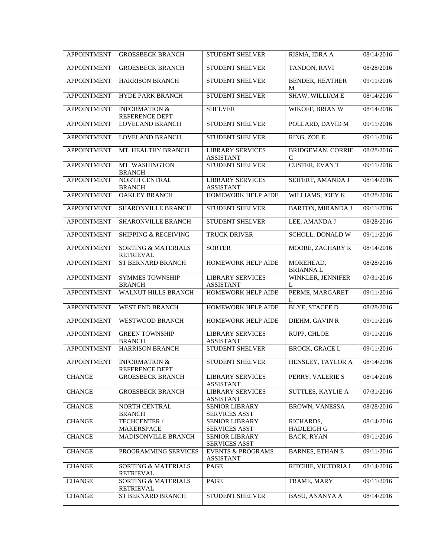| <b>APPOINTMENT</b> | <b>GROESBECK BRANCH</b>                            | <b>STUDENT SHELVER</b>                               | RISMA, IDRA A                  | 08/14/2016 |
|--------------------|----------------------------------------------------|------------------------------------------------------|--------------------------------|------------|
| <b>APPOINTMENT</b> | <b>GROESBECK BRANCH</b>                            | STUDENT SHELVER                                      | TANDON, RAVI                   | 08/28/2016 |
| <b>APPOINTMENT</b> | <b>HARRISON BRANCH</b>                             | STUDENT SHELVER                                      | <b>BENDER, HEATHER</b><br>M    | 09/11/2016 |
| <b>APPOINTMENT</b> | <b>HYDE PARK BRANCH</b>                            | STUDENT SHELVER                                      | SHAW, WILLIAM E                | 08/14/2016 |
| <b>APPOINTMENT</b> | <b>INFORMATION &amp;</b><br>REFERENCE DEPT         | <b>SHELVER</b>                                       | WIKOFF, BRIAN W                | 08/14/2016 |
| <b>APPOINTMENT</b> | LOVELAND BRANCH                                    | STUDENT SHELVER                                      | POLLARD, DAVID M               | 09/11/2016 |
| <b>APPOINTMENT</b> | <b>LOVELAND BRANCH</b>                             | <b>STUDENT SHELVER</b>                               | RING, ZOE E                    | 09/11/2016 |
| <b>APPOINTMENT</b> | MT. HEALTHY BRANCH                                 | <b>LIBRARY SERVICES</b><br><b>ASSISTANT</b>          | <b>BRIDGEMAN, CORRIE</b><br>C  | 08/28/2016 |
| <b>APPOINTMENT</b> | MT. WASHINGTON<br><b>BRANCH</b>                    | STUDENT SHELVER                                      | <b>CUSTER, EVAN T</b>          | 09/11/2016 |
| <b>APPOINTMENT</b> | NORTH CENTRAL<br><b>BRANCH</b>                     | <b>LIBRARY SERVICES</b><br><b>ASSISTANT</b>          | SEIFERT, AMANDA J              | 08/14/2016 |
| <b>APPOINTMENT</b> | <b>OAKLEY BRANCH</b>                               | HOMEWORK HELP AIDE                                   | WILLIAMS, JOEY K               | 08/28/2016 |
| <b>APPOINTMENT</b> | SHARONVILLE BRANCH                                 | STUDENT SHELVER                                      | <b>BARTON, MIRANDA J</b>       | 09/11/2016 |
| <b>APPOINTMENT</b> | <b>SHARONVILLE BRANCH</b>                          | <b>STUDENT SHELVER</b>                               | LEE, AMANDA J                  | 08/28/2016 |
| <b>APPOINTMENT</b> | <b>SHIPPING &amp; RECEIVING</b>                    | TRUCK DRIVER                                         | SCHOLL, DONALD W               | 09/11/2016 |
| <b>APPOINTMENT</b> | <b>SORTING &amp; MATERIALS</b><br><b>RETRIEVAL</b> | <b>SORTER</b>                                        | MOORE, ZACHARY R               | 08/14/2016 |
| <b>APPOINTMENT</b> | ST BERNARD BRANCH                                  | HOMEWORK HELP AIDE                                   | MOREHEAD,<br><b>BRIANNAL</b>   | 08/28/2016 |
| <b>APPOINTMENT</b> | <b>SYMMES TOWNSHIP</b><br><b>BRANCH</b>            | <b>LIBRARY SERVICES</b><br><b>ASSISTANT</b>          | WINKLER, JENNIFER<br>L         | 07/31/2016 |
| <b>APPOINTMENT</b> | <b>WALNUT HILLS BRANCH</b>                         | HOMEWORK HELP AIDE                                   | PERME, MARGARET<br>L           | 09/11/2016 |
| <b>APPOINTMENT</b> | WEST END BRANCH                                    | HOMEWORK HELP AIDE                                   | <b>BLYE, STACEE D</b>          | 08/28/2016 |
| <b>APPOINTMENT</b> | WESTWOOD BRANCH                                    | HOMEWORK HELP AIDE                                   | DIEHM, GAVIN R                 | 09/11/2016 |
| <b>APPOINTMENT</b> | <b>GREEN TOWNSHIP</b><br><b>BRANCH</b>             | <b>LIBRARY SERVICES</b><br><b>ASSISTANT</b>          | RUPP, CHLOE                    | 09/11/2016 |
| <b>APPOINTMENT</b> | <b>HARRISON BRANCH</b>                             | <b>STUDENT SHELVER</b>                               | <b>BROCK, GRACE L</b>          | 09/11/2016 |
| <b>APPOINTMENT</b> | <b>INFORMATION &amp;</b><br>REFERENCE DEPT         | <b>STUDENT SHELVER</b>                               | HENSLEY, TAYLOR A              | 08/14/2016 |
| <b>CHANGE</b>      | <b>GROESBECK BRANCH</b>                            | <b>LIBRARY SERVICES</b><br>ASSISTANT                 | PERRY, VALERIE S               | 08/14/2016 |
| <b>CHANGE</b>      | <b>GROESBECK BRANCH</b>                            | <b>LIBRARY SERVICES</b><br><b>ASSISTANT</b>          | SUTTLES, KAYLIE A              | 07/31/2016 |
| <b>CHANGE</b>      | <b>NORTH CENTRAL</b><br><b>BRANCH</b>              | <b>SENIOR LIBRARY</b><br><b>SERVICES ASST</b>        | <b>BROWN, VANESSA</b>          | 08/28/2016 |
| <b>CHANGE</b>      | TECHCENTER /<br><b>MAKERSPACE</b>                  | <b>SENIOR LIBRARY</b><br><b>SERVICES ASST</b>        | RICHARDS,<br><b>HADLEIGH G</b> | 08/14/2016 |
| <b>CHANGE</b>      | <b>MADISONVILLE BRANCH</b>                         | <b>SENIOR LIBRARY</b>                                | <b>BACK, RYAN</b>              | 09/11/2016 |
| <b>CHANGE</b>      | PROGRAMMING SERVICES                               | <b>SERVICES ASST</b><br><b>EVENTS &amp; PROGRAMS</b> | <b>BARNES, ETHAN E</b>         | 09/11/2016 |
| <b>CHANGE</b>      | <b>SORTING &amp; MATERIALS</b><br>RETRIEVAL        | <b>ASSISTANT</b><br>PAGE                             | RITCHIE, VICTORIA L            | 08/14/2016 |
| <b>CHANGE</b>      | <b>SORTING &amp; MATERIALS</b><br><b>RETRIEVAL</b> | PAGE                                                 | TRAME, MARY                    | 09/11/2016 |
| <b>CHANGE</b>      | ST BERNARD BRANCH                                  | STUDENT SHELVER                                      | <b>BASU, ANANYA A</b>          | 08/14/2016 |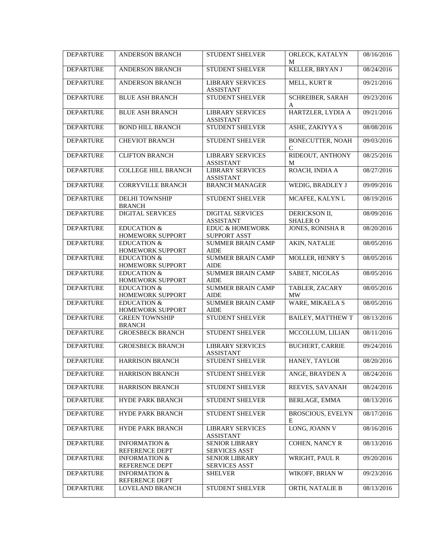| <b>DEPARTURE</b> | <b>ANDERSON BRANCH</b>                     | <b>STUDENT SHELVER</b>                            | ORLECK, KATALYN<br>M             | 08/16/2016 |
|------------------|--------------------------------------------|---------------------------------------------------|----------------------------------|------------|
| <b>DEPARTURE</b> | <b>ANDERSON BRANCH</b>                     | STUDENT SHELVER                                   | KELLER, BRYAN J                  | 08/24/2016 |
| <b>DEPARTURE</b> | <b>ANDERSON BRANCH</b>                     | <b>LIBRARY SERVICES</b><br><b>ASSISTANT</b>       | MELL, KURT R                     | 09/21/2016 |
| <b>DEPARTURE</b> | <b>BLUE ASH BRANCH</b>                     | <b>STUDENT SHELVER</b>                            | <b>SCHREIBER, SARAH</b><br>A     | 09/23/2016 |
| <b>DEPARTURE</b> | <b>BLUE ASH BRANCH</b>                     | <b>LIBRARY SERVICES</b><br><b>ASSISTANT</b>       | HARTZLER, LYDIA A                | 09/21/2016 |
| <b>DEPARTURE</b> | <b>BOND HILL BRANCH</b>                    | <b>STUDENT SHELVER</b>                            | ASHE, ZAKIYYA S                  | 08/08/2016 |
| <b>DEPARTURE</b> | <b>CHEVIOT BRANCH</b>                      | <b>STUDENT SHELVER</b>                            | <b>BONECUTTER, NOAH</b><br>C     | 09/03/2016 |
| <b>DEPARTURE</b> | <b>CLIFTON BRANCH</b>                      | <b>LIBRARY SERVICES</b><br><b>ASSISTANT</b>       | RIDEOUT, ANTHONY<br>M            | 08/25/2016 |
| <b>DEPARTURE</b> | <b>COLLEGE HILL BRANCH</b>                 | <b>LIBRARY SERVICES</b><br><b>ASSISTANT</b>       | ROACH, INDIA A                   | 08/27/2016 |
| <b>DEPARTURE</b> | <b>CORRYVILLE BRANCH</b>                   | <b>BRANCH MANAGER</b>                             | WEDIG, BRADLEY J                 | 09/09/2016 |
| <b>DEPARTURE</b> | <b>DELHI TOWNSHIP</b><br><b>BRANCH</b>     | STUDENT SHELVER                                   | MCAFEE, KALYN L                  | 08/19/2016 |
| <b>DEPARTURE</b> | <b>DIGITAL SERVICES</b>                    | <b>DIGITAL SERVICES</b><br><b>ASSISTANT</b>       | DERICKSON II,<br><b>SHALER O</b> | 08/09/2016 |
| <b>DEPARTURE</b> | <b>EDUCATION &amp;</b><br>HOMEWORK SUPPORT | <b>EDUC &amp; HOMEWORK</b><br><b>SUPPORT ASST</b> | <b>JONES, RONISHA R</b>          | 08/20/2016 |
| <b>DEPARTURE</b> | <b>EDUCATION &amp;</b><br>HOMEWORK SUPPORT | <b>SUMMER BRAIN CAMP</b><br>AIDE                  | <b>AKIN, NATALIE</b>             | 08/05/2016 |
| <b>DEPARTURE</b> | <b>EDUCATION &amp;</b><br>HOMEWORK SUPPORT | <b>SUMMER BRAIN CAMP</b><br>AIDE                  | MOLLER, HENRY S                  | 08/05/2016 |
| <b>DEPARTURE</b> | <b>EDUCATION &amp;</b><br>HOMEWORK SUPPORT | <b>SUMMER BRAIN CAMP</b><br>AIDE                  | SABET, NICOLAS                   | 08/05/2016 |
| <b>DEPARTURE</b> | <b>EDUCATION &amp;</b><br>HOMEWORK SUPPORT | <b>SUMMER BRAIN CAMP</b><br>AIDE                  | TABLER, ZACARY<br><b>MW</b>      | 08/05/2016 |
| <b>DEPARTURE</b> | <b>EDUCATION &amp;</b><br>HOMEWORK SUPPORT | <b>SUMMER BRAIN CAMP</b><br><b>AIDE</b>           | <b>WARE, MIKAELA S</b>           | 08/05/2016 |
| <b>DEPARTURE</b> | <b>GREEN TOWNSHIP</b><br><b>BRANCH</b>     | <b>STUDENT SHELVER</b>                            | <b>BAILEY, MATTHEW T</b>         | 08/13/2016 |
| <b>DEPARTURE</b> | <b>GROESBECK BRANCH</b>                    | STUDENT SHELVER                                   | MCCOLLUM, LILIAN                 | 08/11/2016 |
| <b>DEPARTURE</b> | <b>GROESBECK BRANCH</b>                    | <b>LIBRARY SERVICES</b><br><b>ASSISTANT</b>       | <b>BUCHERT, CARRIE</b>           | 09/24/2016 |
| <b>DEPARTURE</b> | <b>HARRISON BRANCH</b>                     | STUDENT SHELVER                                   | HANEY, TAYLOR                    | 08/20/2016 |
| <b>DEPARTURE</b> | HARRISON BRANCH                            | STUDENT SHELVER                                   | ANGE, BRAYDEN A                  | 08/24/2016 |
| <b>DEPARTURE</b> | HARRISON BRANCH                            | STUDENT SHELVER                                   | <b>REEVES, SAVANAH</b>           | 08/24/2016 |
| <b>DEPARTURE</b> | HYDE PARK BRANCH                           | <b>STUDENT SHELVER</b>                            | <b>BERLAGE, EMMA</b>             | 08/13/2016 |
| <b>DEPARTURE</b> | HYDE PARK BRANCH                           | STUDENT SHELVER                                   | <b>BROSCIOUS, EVELYN</b><br>E    | 08/17/2016 |
| <b>DEPARTURE</b> | HYDE PARK BRANCH                           | <b>LIBRARY SERVICES</b><br><b>ASSISTANT</b>       | LONG, JOANN V                    | 08/16/2016 |
| <b>DEPARTURE</b> | <b>INFORMATION &amp;</b><br>REFERENCE DEPT | <b>SENIOR LIBRARY</b><br><b>SERVICES ASST</b>     | COHEN, NANCY R                   | 08/13/2016 |
| <b>DEPARTURE</b> | <b>INFORMATION &amp;</b><br>REFERENCE DEPT | <b>SENIOR LIBRARY</b><br><b>SERVICES ASST</b>     | WRIGHT, PAUL R                   | 09/20/2016 |
| <b>DEPARTURE</b> | <b>INFORMATION &amp;</b><br>REFERENCE DEPT | <b>SHELVER</b>                                    | WIKOFF, BRIAN W                  | 09/23/2016 |
| <b>DEPARTURE</b> | LOVELAND BRANCH                            | STUDENT SHELVER                                   | ORTH, NATALIE B                  | 08/13/2016 |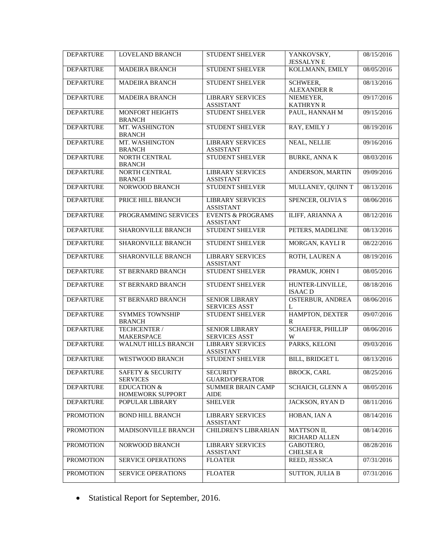| <b>DEPARTURE</b> | <b>LOVELAND BRANCH</b>                          | STUDENT SHELVER                                  | YANKOVSKY,<br><b>JESSALYNE</b>        | 08/15/2016 |
|------------------|-------------------------------------------------|--------------------------------------------------|---------------------------------------|------------|
| <b>DEPARTURE</b> | <b>MADEIRA BRANCH</b>                           | STUDENT SHELVER                                  | KOLLMANN, EMILY                       | 08/05/2016 |
| <b>DEPARTURE</b> | <b>MADEIRA BRANCH</b>                           | STUDENT SHELVER                                  | <b>SCHWEER,</b><br><b>ALEXANDER R</b> | 08/13/2016 |
| <b>DEPARTURE</b> | <b>MADEIRA BRANCH</b>                           | <b>LIBRARY SERVICES</b><br><b>ASSISTANT</b>      | NIEMEYER,<br><b>KATHRYN R</b>         | 09/17/2016 |
| <b>DEPARTURE</b> | MONFORT HEIGHTS<br><b>BRANCH</b>                | STUDENT SHELVER                                  | PAUL, HANNAH M                        | 09/15/2016 |
| <b>DEPARTURE</b> | MT. WASHINGTON<br><b>BRANCH</b>                 | <b>STUDENT SHELVER</b>                           | RAY, EMILY J                          | 08/19/2016 |
| <b>DEPARTURE</b> | MT. WASHINGTON<br><b>BRANCH</b>                 | <b>LIBRARY SERVICES</b><br><b>ASSISTANT</b>      | <b>NEAL, NELLIE</b>                   | 09/16/2016 |
| <b>DEPARTURE</b> | NORTH CENTRAL<br><b>BRANCH</b>                  | <b>STUDENT SHELVER</b>                           | <b>BURKE, ANNA K</b>                  | 08/03/2016 |
| <b>DEPARTURE</b> | NORTH CENTRAL<br><b>BRANCH</b>                  | <b>LIBRARY SERVICES</b><br><b>ASSISTANT</b>      | ANDERSON, MARTIN                      | 09/09/2016 |
| <b>DEPARTURE</b> | NORWOOD BRANCH                                  | <b>STUDENT SHELVER</b>                           | MULLANEY, QUINN T                     | 08/13/2016 |
| <b>DEPARTURE</b> | PRICE HILL BRANCH                               | <b>LIBRARY SERVICES</b><br><b>ASSISTANT</b>      | SPENCER, OLIVIA S                     | 08/06/2016 |
| <b>DEPARTURE</b> | PROGRAMMING SERVICES                            | <b>EVENTS &amp; PROGRAMS</b><br><b>ASSISTANT</b> | ILIFF, ARIANNA A                      | 08/12/2016 |
| <b>DEPARTURE</b> | <b>SHARONVILLE BRANCH</b>                       | <b>STUDENT SHELVER</b>                           | PETERS, MADELINE                      | 08/13/2016 |
| <b>DEPARTURE</b> | SHARONVILLE BRANCH                              | <b>STUDENT SHELVER</b>                           | MORGAN, KAYLI R                       | 08/22/2016 |
| <b>DEPARTURE</b> | SHARONVILLE BRANCH                              | <b>LIBRARY SERVICES</b><br><b>ASSISTANT</b>      | ROTH, LAUREN A                        | 08/19/2016 |
| <b>DEPARTURE</b> | ST BERNARD BRANCH                               | <b>STUDENT SHELVER</b>                           | PRAMUK, JOHN I                        | 08/05/2016 |
| <b>DEPARTURE</b> | ST BERNARD BRANCH                               | STUDENT SHELVER                                  | HUNTER-LINVILLE,<br><b>ISAACD</b>     | 08/18/2016 |
| <b>DEPARTURE</b> | ST BERNARD BRANCH                               | <b>SENIOR LIBRARY</b><br><b>SERVICES ASST</b>    | <b>OSTERBUR, ANDREA</b><br>L          | 08/06/2016 |
| <b>DEPARTURE</b> | <b>SYMMES TOWNSHIP</b><br><b>BRANCH</b>         | <b>STUDENT SHELVER</b>                           | HAMPTON, DEXTER<br>R                  | 09/07/2016 |
| <b>DEPARTURE</b> | TECHCENTER /<br><b>MAKERSPACE</b>               | SENIOR LIBRARY<br><b>SERVICES ASST</b>           | SCHAEFER, PHILLIP<br>W                | 08/06/2016 |
| <b>DEPARTURE</b> | <b>WALNUT HILLS BRANCH</b>                      | <b>LIBRARY SERVICES</b><br><b>ASSISTANT</b>      | PARKS, KELONI                         | 09/03/2016 |
| <b>DEPARTURE</b> | <b>WESTWOOD BRANCH</b>                          | STUDENT SHELVER                                  | <b>BILL, BRIDGET L</b>                | 08/13/2016 |
| <b>DEPARTURE</b> | <b>SAFETY &amp; SECURITY</b><br><b>SERVICES</b> | <b>SECURITY</b><br><b>GUARD/OPERATOR</b>         | <b>BROCK, CARL</b>                    | 08/25/2016 |
| <b>DEPARTURE</b> | <b>EDUCATION &amp;</b><br>HOMEWORK SUPPORT      | <b>SUMMER BRAIN CAMP</b><br>AIDE                 | <b>SCHAICH, GLENN A</b>               | 08/05/2016 |
| <b>DEPARTURE</b> | POPULAR LIBRARY                                 | <b>SHELVER</b>                                   | JACKSON, RYAN D                       | 08/11/2016 |
| <b>PROMOTION</b> | <b>BOND HILL BRANCH</b>                         | <b>LIBRARY SERVICES</b><br><b>ASSISTANT</b>      | HOBAN, IAN A                          | 08/14/2016 |
| <b>PROMOTION</b> | MADISONVILLE BRANCH                             | CHILDREN'S LIBRARIAN                             | MATTSON II,<br>RICHARD ALLEN          | 08/14/2016 |
| <b>PROMOTION</b> | NORWOOD BRANCH                                  | <b>LIBRARY SERVICES</b><br><b>ASSISTANT</b>      | GABOTERO,<br><b>CHELSEAR</b>          | 08/28/2016 |
| <b>PROMOTION</b> | SERVICE OPERATIONS                              | <b>FLOATER</b>                                   | REED, JESSICA                         | 07/31/2016 |
| <b>PROMOTION</b> | SERVICE OPERATIONS                              | <b>FLOATER</b>                                   | <b>SUTTON, JULIA B</b>                | 07/31/2016 |

• Statistical Report for September, 2016.